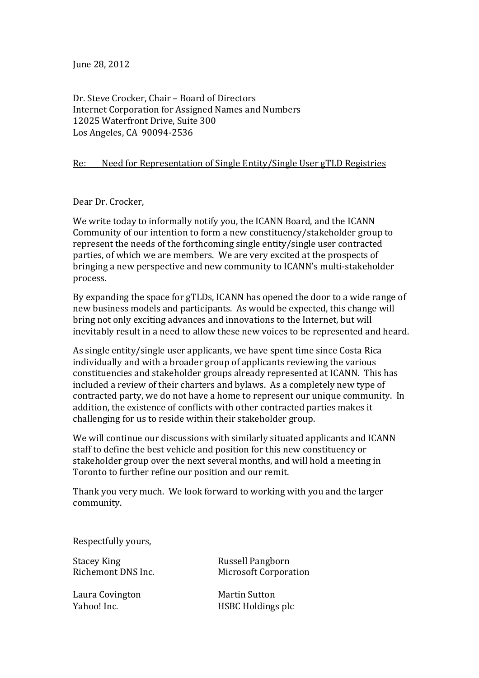June 28, 2012

Dr. Steve Crocker, Chair - Board of Directors Internet Corporation for Assigned Names and Numbers 12025 Waterfront Drive, Suite 300 Los Angeles, CA 90094-2536

## Re: Need for Representation of Single Entity/Single User gTLD Registries

Dear Dr. Crocker,

We write today to informally notify you, the ICANN Board, and the ICANN Community of our intention to form a new constituency/stakeholder group to represent the needs of the forthcoming single entity/single user contracted parties, of which we are members. We are very excited at the prospects of bringing a new perspective and new community to ICANN's multi-stakeholder process.

By expanding the space for gTLDs, ICANN has opened the door to a wide range of new business models and participants. As would be expected, this change will bring not only exciting advances and innovations to the Internet, but will inevitably result in a need to allow these new voices to be represented and heard.

As single entity/single user applicants, we have spent time since Costa Rica individually and with a broader group of applicants reviewing the various constituencies and stakeholder groups already represented at ICANN. This has included a review of their charters and bylaws. As a completely new type of contracted party, we do not have a home to represent our unique community. In addition, the existence of conflicts with other contracted parties makes it challenging for us to reside within their stakeholder group.

We will continue our discussions with similarly situated applicants and ICANN staff to define the best vehicle and position for this new constituency or stakeholder group over the next several months, and will hold a meeting in Toronto to further refine our position and our remit.

Thank you very much. We look forward to working with you and the larger community.

Respectfully yours,

Stacey King **Russell** Pangborn

Laura Covington **Martin** Sutton

Richemont DNS Inc. Microsoft Corporation

Yahoo! Inc. The Matter of HSBC Holdings plc